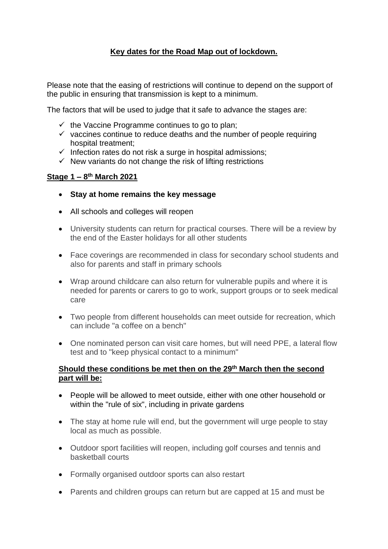# **Key dates for the Road Map out of lockdown.**

Please note that the easing of restrictions will continue to depend on the support of the public in ensuring that transmission is kept to a minimum.

The factors that will be used to judge that it safe to advance the stages are:

- $\checkmark$  the Vaccine Programme continues to go to plan;
- $\checkmark$  vaccines continue to reduce deaths and the number of people requiring hospital treatment;
- $\checkmark$  Infection rates do not risk a surge in hospital admissions;
- $\checkmark$  New variants do not change the risk of lifting restrictions

#### **Stage 1 – 8 th March 2021**

- **Stay at home remains the key message**
- All schools and colleges will reopen
- University students can return for practical courses. There will be a review by the end of the Easter holidays for all other students
- Face coverings are recommended in class for secondary school students and also for parents and staff in primary schools
- Wrap around childcare can also return for vulnerable pupils and where it is needed for parents or carers to go to work, support groups or to seek medical care
- Two people from different households can meet outside for recreation, which can include "a coffee on a bench"
- One nominated person can visit care homes, but will need PPE, a lateral flow test and to "keep physical contact to a minimum"

#### **Should these conditions be met then on the 29th March then the second part will be:**

- People will be allowed to meet outside, either with one other household or within the "rule of six", including in private gardens
- The stay at home rule will end, but the government will urge people to stay local as much as possible.
- Outdoor sport facilities will reopen, including golf courses and tennis and basketball courts
- Formally organised outdoor sports can also restart
- Parents and children groups can return but are capped at 15 and must be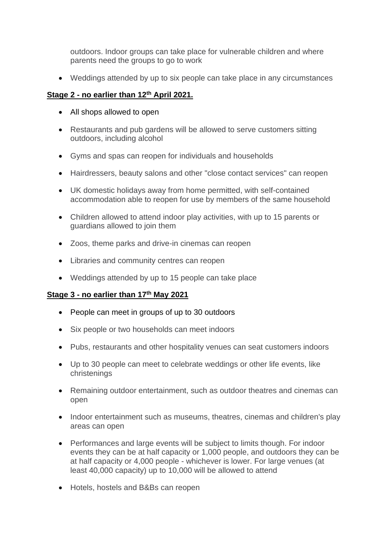outdoors. Indoor groups can take place for vulnerable children and where parents need the groups to go to work

• Weddings attended by up to six people can take place in any circumstances

## **Stage 2 - no earlier than 12th April 2021.**

- All shops allowed to open
- Restaurants and pub gardens will be allowed to serve customers sitting outdoors, including alcohol
- Gyms and spas can reopen for individuals and households
- Hairdressers, beauty salons and other "close contact services" can reopen
- UK domestic holidays away from home permitted, with self-contained accommodation able to reopen for use by members of the same household
- Children allowed to attend indoor play activities, with up to 15 parents or guardians allowed to join them
- Zoos, theme parks and drive-in cinemas can reopen
- Libraries and community centres can reopen
- Weddings attended by up to 15 people can take place

### **Stage 3 - no earlier than 17th May 2021**

- People can meet in groups of up to 30 outdoors
- Six people or two households can meet indoors
- Pubs, restaurants and other hospitality venues can seat customers indoors
- Up to 30 people can meet to celebrate weddings or other life events, like christenings
- Remaining outdoor entertainment, such as outdoor theatres and cinemas can open
- Indoor entertainment such as museums, theatres, cinemas and children's play areas can open
- Performances and large events will be subject to limits though. For indoor events they can be at half capacity or 1,000 people, and outdoors they can be at half capacity or 4,000 people - whichever is lower. For large venues (at least 40,000 capacity) up to 10,000 will be allowed to attend
- Hotels, hostels and B&Bs can reopen